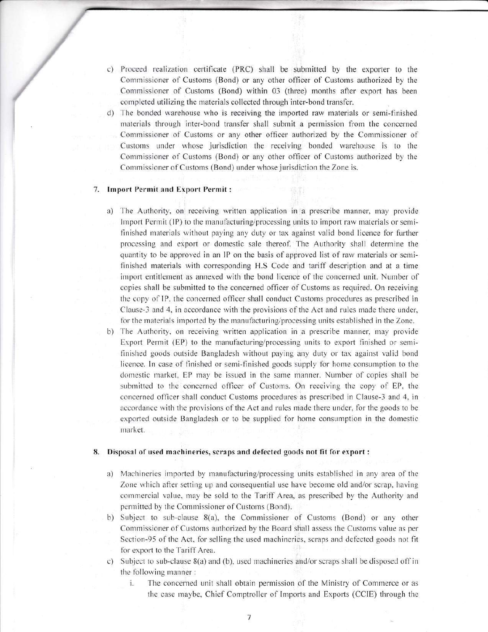- c) Proceed realization certificate (PRC) shall be submitted by the exporter to the Commissioner of Customs (Bond) or any other officer of Customs authorized by the Commissioner of Customs (Bond) within 03 (three) months after export has been cornpleted utilizing the materials collected through inter-bond transfer.
- d) The bonded warehouse who is receiving the imported raw materials or semi-finished materials through inter-bond transfer shall submit a permission from the concerned Commissioner of Customs or any other officer authorized by the Commissioner of Customs under whose jurisdiction the receiving bonded warehouse is to the Commissioner of Customs (Bond) or any other officer of Customs authorized by the Commissioner of Customs (Bond) under whose jurisdiction the Zone is.

### 7. Import Permit and Export Permit :

- a) The Authority, on receiving written application in a prescribe manner, may provide Import Permit  $(IP)$  to the manufacturing/processing units to import raw materials or semifinished materials without paying any duty or tax against valid bond licence for further processing and export or dornestic sale thereof. The Authority shall determine the quantity to be approved in an IP on the basis of approved list of raw materials or semifinished rnaterials with corresponding H.S Code and tariff description and at a time import entitlement as annexed with the bond licence of the concerned unit. Number of copies shall be subrnitted to the concerned officer of Customs as requrired. On receiving the copy of IP, the concerned officer shall conduct Customs procedures as prescribed in Clause-3 and 4, in accordance with the provisions of the Act and rules made there under, for the materials imported by the manufacturing/processing units established in the Zone.
- The Authority, on receiving written application in a prescribe manner, may provide Export Permit (EP) to the manufacturing/processing units to export finished or semifinished goods outside Bangladesh without paying any duty or tax against valid bond licence. In case of finished or semi-finished goods supply for home consumption to the domestic market, EP may be issued in the same manner. Number of copies shall be submitted to the concerned officer of Customs. On receiving the copy of EP, the concerned officer shall conduct Customs procedures as prescribed in Clause-3 and 4, in accordance with the provisions of the Act and rules made there under, for the goods to be exported outside Bangladesh or to be supplied for home consumption in the domestic market. b)

### 8. Disposal of used machineries, scraps and defected goods not fit for export:

- a) Machineries imported by manufacturing/processing units established in any area of the Zone which after setting up and consequential use have become old and/or scrap, having commercial value, may be sold to the Tariff Area, as prescribed by the Authority and permitted by the Commissioner of Customs (Bond).
- b) Subject to sub-clause 8(a), the Commissioner of Customs (Bond) or any other Commissioner of Customs authorized by the Board shall assess the Customs value as per Section-95 of the Act, for selling the used machineries, scraps and defected goods not fit for export to the Tariff Area.
- c) Subject to sub-clause  $8(a)$  and (b), used machineries and/or scraps shall be disposed off in the following manner :
	- i. The concerned unit shall obtain permission of the Ministry of Commerce or as the case maybe, Chief Comptroller of Imports and Exports (CCIE) through the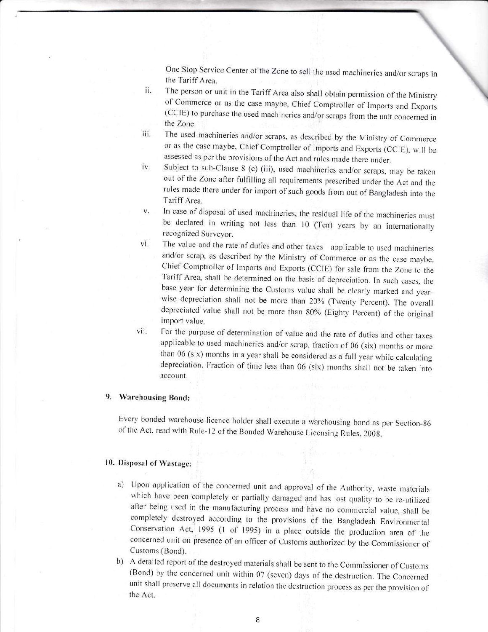One Stop Service Center of the Zone to sell the used machineries and/or scraps the Tariff Area.

- The person or unit in the Tariff Area also shall obtain perrnission of the Ministry of Commerce or as the case maybe, Chief Comptroller of Imports and Exports (CCIE) to purchase the used machineries and/or scraps from the unit concerned in the Zone. il.
- iii. The used machineries and/or scraps, as described by the Ministry of Commerce or as the case maybe, Chief Comptroller of Imports and Exports (CCIE), will be assessed as per the provisions of the Act and rules made there under.
- lv. Subject to sub-Clause 8 (c) (iii), used machineries and/or scraps, may be taken out of the Zone after fulfilling all requirements prescribed under the Act and the rules made there under for import of such goods from out of Bangladesh into the Tariff Area.
- In case of disposal of used machineries, the residual life of the machineries must be declared in writing not less than 10 (Ten) years by an internationally recognized Surveyor. V.
- The value and the rate of duties and other taxes applicable to used machineries and/or scrap, as described by the Ministry of Commerce or as the case maybe, Chief Comptroller of Imports and Exports (CCIE) for sale from the Zone to the Tariff Area, shall be determined on the basis of depreciation. In such cases, the base year for determining the Customs value shall be clearly marked and yearwise depreciation shall not be more than 20% (Twenty Percent). The overall depreciated value shall not be more than 80% (Eighty percent) of the original import value. vl.
- For the purpose of determination of value and the rate of duties and other taxes applicable to used machineries and/or scrap, fraction of 06 (six) months or more than 06 (six) months in a year shall be considered as a full year while calculating depreciation. Fraction of time less than 06 (six) months shall not be taken into account. vii.

### 9. Warehousing Bond:

Every bonded warehouse licence holder shall execute a warehousing bond as per Section-86 of the Act, read with Rule-12 of the Bonded Warehouse Licensing Rules, 2008.

## 10. Disposal of Wastage:

- a) Upon application of the concerned unit and approval of the Authority, waste materials which have been completely or partially damaged and has lost quality to be re-utilized after being used in the manufacturing process and have no commercial value, shall be cornpletely destroyed according to the provisions of the Bangladesh Environmental Conservation Act, 1995 (1 of 1995) in a place outside the production area of the concerned unit on presence of an officer of Customs authorized by the Commissioner of Customs (Bond).
- b) A detailed report of the destroyed materials shall be sent to the Commissioner of Customs (Bond) by the concerned unit within 07 (seven) days of the destruction. The Concerned unit shall preserve all documents in relation the destruction process as per the provision of the Act.

8